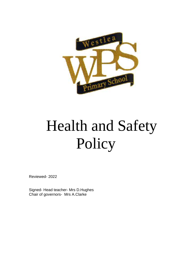

# Health and Safety Policy

Reviewed- 2022

Signed- Head teacher- Mrs D.Hughes Chair of governors- Mrs A.Clarke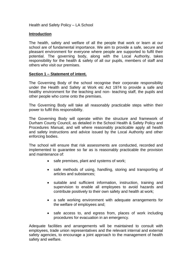Health and Safety Policy – LA School

#### **Introduction**

The health, safety and welfare of all the people that work or learn at our school are of fundamental importance. We aim to provide a safe, secure and pleasant environment for everyone where people are supported to fulfil their potential. The governing body, along with the Local Authority, takes responsibility for the health & safety of all our pupils, members of staff and others who visit our premises.

#### **Section 1 – Statement of intent.**

The Governing Body of the school recognise their corporate responsibility under the Health and Safety at Work etc Act 1974 to provide a safe and healthy environment for the teaching and non- teaching staff, the pupils and other people who come onto the premises.

The Governing Body will take all reasonably practicable steps within their power to fulfil this responsibility.

The Governing Body will operate within the structure and framework of Durham County Council, as detailed in the School Health & Safety Policy and Procedures Manual, and will where reasonably practicable apply all health and safety instructions and advice issued by the Local Authority and other enforcing bodies.

The school will ensure that risk assessments are conducted, recorded and implemented to guarantee so far as is reasonably practicable the provision and maintenance of:

- safe premises, plant and systems of work;
- safe methods of using, handling, storing and transporting of articles and substances;
- suitable and sufficient information, instruction, training and supervision to enable all employees to avoid hazards and contribute positively to their own safety and health at work;
- a safe working environment with adequate arrangements for the welfare of employees and;
- safe access to, and egress from, places of work including procedures for evacuation in an emergency.

Adequate facilities and arrangements will be maintained to consult with employees, trade union representatives and the relevant internal and external safety agencies, to encourage a joint approach to the management of health safety and welfare.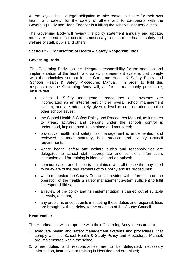All employees have a legal obligation to take reasonable care for their own health and safety, for the safety of others and to co-operate with the Governing Body and Head Teacher in fulfilling the schools' statutory duties.

The Governing Body will review this policy statement annually and update, modify or amend it as it considers necessary to ensure the health, safety and welfare of staff, pupils and others.

## **Section 2 - Organisation of Health & Safety Responsibilities**

## **Governing Body**

The Governing Body has the delegated responsibility for the adoption and implementation of the health and safety management systems that comply with the principles set out in the Corporate Health & Safety Policy and Schools Health & Safety Procedures Manual. In order to fulfil this responsibility the Governing Body will, as far as reasonably practicable, ensure that:

- Health & Safety management procedures and systems are incorporated as an integral part of their overall school management system, and are adequately given a level of consideration equal to other school issues;
- the School Health & Safety Policy and Procedures Manual, as it relates to areas, activities and persons under the schools control is understood, implemented, maintained and monitored;
- pro-active health and safety risk management is implemented, and reviewed to meet statutory, best practice and County Council requirements;
- where health, safety and welfare duties and responsibilities are delegated to school staff, appropriate and sufficient information, instruction and /or training is identified and organised;
- communication and liaison is maintained with all those who may need to be aware of the requirements of this policy and it's procedures;
- when requested the County Council is provided with information on the operation of the health & safety management system sufficient to fulfil its responsibilities,
- a review of the policy and its implementation is carried out at suitable intervals; and that,
- any problems or constraints in meeting these duties and responsibilities are brought, without delay, to the attention of the County Council.

## **Headteacher**

The Headteacher will co-operate with their Governing Body to ensure that:

- 1. adequate health and safety management systems and procedures, that comply with the School Health & Safety Policy and Procedures Manual, are implemented within the school;
- 2. where duties and responsibilities are to be delegated, necessary information, instruction or training is identified and organised;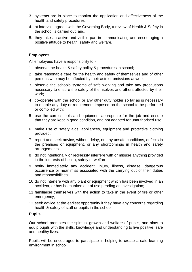- 3. systems are in place to monitor the application and effectiveness of the health and safety procedures;
- 4. at intervals agreed with the Governing Body, a review of Health & Safety in the school is carried out; and,
- 5. they take an active and visible part in communicating and encouraging a positive attitude to health, safety and welfare.

## **Employees**

All employees have a responsibility to -

- 1 observe the health & safety policy & procedures in school;
- 2 take reasonable care for the health and safety of themselves and of other persons who may be affected by their acts or omissions at work;
- 3 observe the schools systems of safe working and take any precautions necessary to ensure the safety of themselves and others affected by their work;
- 4 co-operate with the school or any other duty holder so far as is necessary to enable any duty or requirement imposed on the school to be performed or complied with;
- 5 use the correct tools and equipment appropriate for the job and ensure that they are kept in good condition, and not adapted for unauthorised use;
- 6 make use of safety aids, appliances, equipment and protective clothing provided;
- 7 report and seek advice, without delay, on any unsafe conditions, defects in the premises or equipment, or any shortcomings in health and safety arrangements;
- 8 do not intentionally or recklessly interfere with or misuse anything provided in the interests of health, safety or welfare;
- 9 notify immediately any accident, injury, illness, disease, dangerous occurrence or near miss associated with the carrying out of their duties and responsibilities;
- 10 do not interfere with any plant or equipment which has been involved in an accident, or has been taken out of use pending an investigation;
- 11 familiarise themselves with the action to take in the event of fire or other emergency;
- 12 seek advice at the earliest opportunity if they have any concerns regarding health & safety of staff or pupils in the school.

## **Pupils**

Our school promotes the spiritual growth and welfare of pupils, and aims to equip pupils with the skills, knowledge and understanding to live positive, safe and healthy lives.

Pupils will be encouraged to participate in helping to create a safe learning environment in school.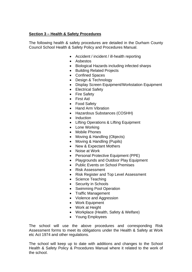## **Section 3 – Health & Safety Procedures**

The following health & safety procedures are detailed in the Durham County Council School Health & Safety Policy and Procedures Manual.

- Accident / incident / ill-health reporting
- Asbestos
- Biological Hazards including infected sharps
- Building Related Projects
- Confined Spaces
- Design & Technology
- Display Screen Equipment/Workstation Equipment
- Electrical Safety
- Fire Safety
- First Aid
- Food Safety
- Hand Arm Vibration
- Hazardous Substances (COSHH)
- Induction
- Lifting Operations & Lifting Equipment
- Lone Working
- Mobile Phones
- Moving & Handling (Objects)
- Moving & Handling (Pupils)
- New & Expectant Mothers
- Noise at Work
- Personal Protective Equipment (PPE)
- Playgrounds and Outdoor Play Equipment
- Public Events on School Premises
- Risk Assessment
- Risk Register and Top Level Assessment
- Science Teaching
- Security in Schools
- Swimming Pool Operation
- Traffic Management
- Violence and Aggression
- Work Equipment
- Work at Height
- Workplace (Health, Safety & Welfare)
- Young Employees

The school will use the above procedures and corresponding Risk Assessment forms to meet its obligations under the Health & Safety at Work etc Act 1974 and other regulations.

The school will keep up to date with additions and changes to the School Health & Safety Policy & Procedures Manual where it related to the work of the school.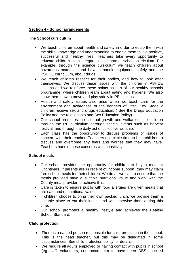# **Section 4 - School arrangements**

#### **The School curriculum**

- We teach children about health and safety in order to equip them with the skills, knowledge and understanding to enable them to live positive, successful and healthy lives. Teachers take every opportunity to educate children in this regard in the normal school curriculum. For example, through the science curriculum we teach children about hazardous materials, and how to handle equipment safely and the PSHCE curriculum, about drugs.
- We teach children respect for their bodies, and how to look after themselves. We discuss these issues with the children in PSHCE lessons and we reinforce these points as part of our healthy schools programme, where children learn about eating and hygiene. We also show them how to move and play safely in PE lessons.
- Health and safety issues also arise when we teach care for the environment and awareness of the dangers of litter. Key Stage 2 children receive sex and drugs education. ( See the Drugs Education Policy and the relationship and Sex Education Policy)
- Our school promotes the spiritual growth and welfare of the children through the RE curriculum, through special events such as harvest festival, and through the daily act of collective worship.
- Each class has the opportunity to discuss problems or issues of concern with their teacher. Teachers use circle time to help children to discuss and overcome any fears and worries that they may have. Teachers handle these concerns with sensitivity.

## **School meals**

- Our school provides the opportunity for children to buy a meal at lunchtimes. If parents are in receipt of income support, they may claim free school meals for their children. We do all we can to ensure that the meals provided have a suitable nutritional value and work with the County meal provider to achieve this.
- Care is taken to ensure pupils with food allergies are given meals that are safe and of nutritional value.
- If children choose to bring their own packed lunch, we provide them a suitable place to eat their lunch, and we supervise them during this time.
- Our school promotes a healthy lifestyle and achieves the Healthy School Standard.

## **Child protection**

- There is a named person responsible for child protection in the school. This is the head teacher, but this may be delegated in some circumstances. See child protection policy for details.
- We require all adults employed or having contact with pupils in school (eg staff, volunteers, contractors etc) to have been DBS checked